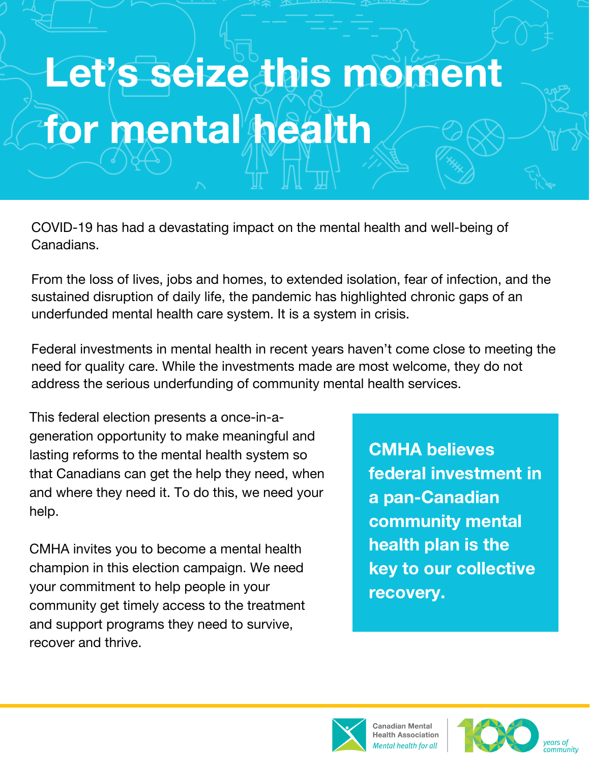# Let's seize this moment for mental health

COVID-19 has had a devastating impact on the mental health and well-being of Canadians.

From the loss of lives, jobs and homes, to extended isolation, fear of infection, and the sustained disruption of daily life, the pandemic has highlighted chronic gaps of an underfunded mental health care system. It is a system in crisis.

Federal investments in mental health in recent years haven't come close to meeting the need for quality care. While the investments made are most welcome, they do not address the serious underfunding of community mental health services.

This federal election presents a once-in-ageneration opportunity to make meaningful and lasting reforms to the mental health system so that Canadians can get the help they need, when and where they need it. To do this, we need your help.

CMHA invites you to become a mental health champion in this election campaign. We need your commitment to help people in your community get timely access to the treatment and support programs they need to survive, recover and thrive.

CMHA believes federal investment in a pan-Canadian community mental health plan is the key to our collective recovery.



Canadian Mental<br>Health Association lental health for all

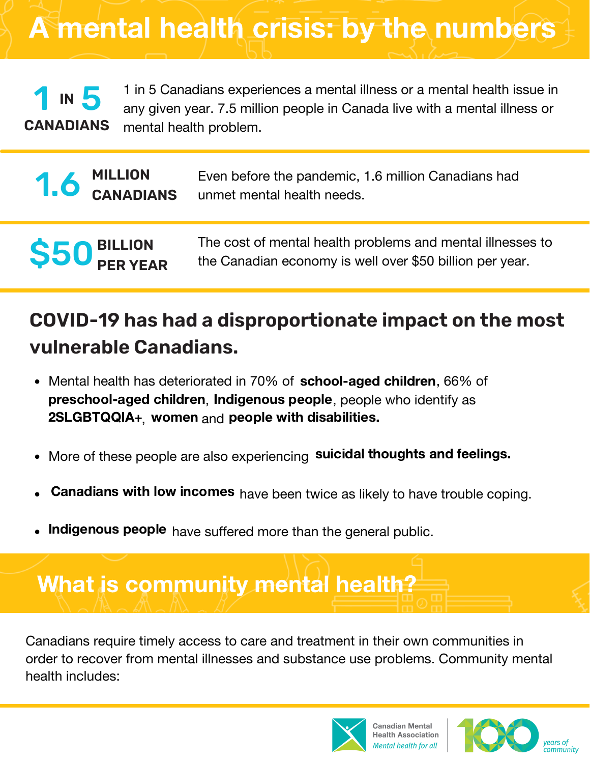A mental health crisis: by the numbers

1 in 5 Canadians experiences a mental illness or a mental health issue in any given year. 7.5 million people in Canada live with a mental illness or mental health problem. **CANADIANS IN** 5

|  | Even before the pandemic, 1.6 million Canadians had                                            |
|--|------------------------------------------------------------------------------------------------|
|  | <b>1. 6 MILLION</b> Even before the pandemic, 1<br><b>CANADIANS</b> unmet mental health needs. |
|  |                                                                                                |

The cost of mental health problems and mental illnesses to the Canadian economy is well over \$50 billion per year.

### **COVID-19 has had a disproportionate impact on the most vulnerable Canadians.**

- Mental health has deteriorated in 70% of school-aged children, 66% of preschool-aged children, Indigenous people, people who identify as  $2SLAGBTQQIA+$ , women and people with disabilities.
- More of these people are also experiencing suicidal thoughts and feelings.  $\bullet$
- Canadians with low incomes have been twice as likely to have trouble coping.
- Indigenous people have suffered more than the general public.

## What is community mental health?

**S50** 

**BILLION**

**PER YEAR**

Canadians require timely access to care and treatment in their own communities in order to recover from mental illnesses and substance use problems. Community mental health includes:



Canadian Mental<br>Health Association Intal health for all

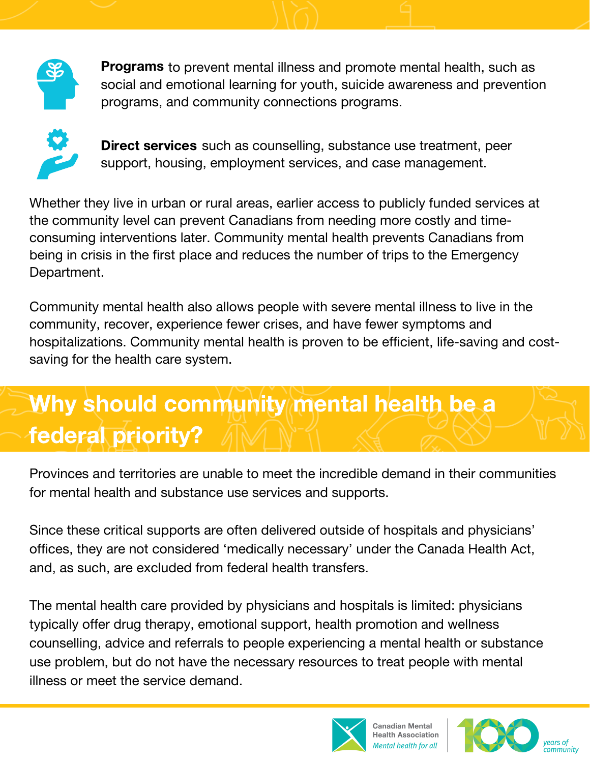

Programs to prevent mental illness and promote mental health, such as social and emotional learning for youth, suicide awareness and prevention programs, and community connections programs.



Direct services such as counselling, substance use treatment, peer support, housing, employment services, and case management.

Whether they live in urban or rural areas, earlier access to publicly funded services at the community level can prevent Canadians from needing more costly and timeconsuming interventions later. Community mental health prevents Canadians from being in crisis in the first place and reduces the number of trips to the Emergency Department.

Community mental health also allows people with severe mental illness to live in the community, recover, experience fewer crises, and have fewer symptoms and hospitalizations. Community mental health is proven to be efficient, life-saving and costsaving for the health care system.

## Why should community mental health be a federal priority?

Provinces and territories are unable to meet the incredible demand in their communities for mental health and substance use services and supports.

Since these critical supports are often delivered outside of hospitals and physicians' offices, they are not considered 'medically necessary' under the Canada Health Act, and, as such, are excluded from federal health transfers.

The mental health care provided by physicians and hospitals is limited: physicians typically offer drug therapy, emotional support, health promotion and wellness counselling, advice and referrals to people experiencing a mental health or substance use problem, but do not have the necessary resources to treat people with mental illness or meet the service demand.



Canadian Mental **Health Association** ental health for all

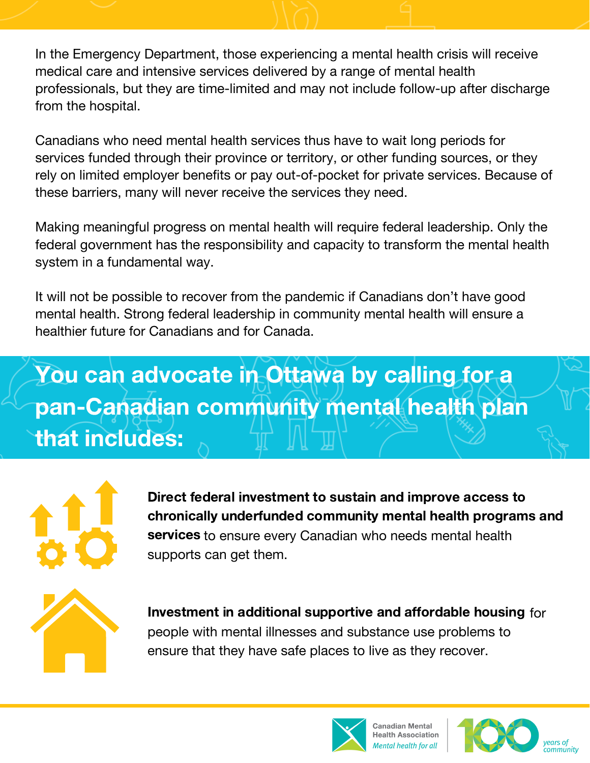In the Emergency Department, those experiencing a mental health crisis will receive medical care and intensive services delivered by a range of mental health professionals, but they are time-limited and may not include follow-up after discharge from the hospital.

Canadians who need mental health services thus have to wait long periods for services funded through their province or territory, or other funding sources, or they rely on limited employer benefits or pay out-of-pocket for private services. Because of these barriers, many will never receive the services they need.

Making meaningful progress on mental health will require federal leadership. Only the federal government has the responsibility and capacity to transform the mental health system in a fundamental way.

It will not be possible to recover from the pandemic if Canadians don't have good mental health. Strong federal leadership in community mental health will ensure a healthier future for Canadians and for Canada.

## You can advocate in Ottawa by calling for a pan-Canadian community mental health plan that includes:



services to ensure every Canadian who needs mental health supports can get them. Direct federal investment to sustain and improve access to chronically underfunded community mental health programs and



Investment in additional supportive and affordable housing for people with mental illnesses and substance use problems to ensure that they have safe places to live as they recover.



Canadian Mental lealth Association ental health for all

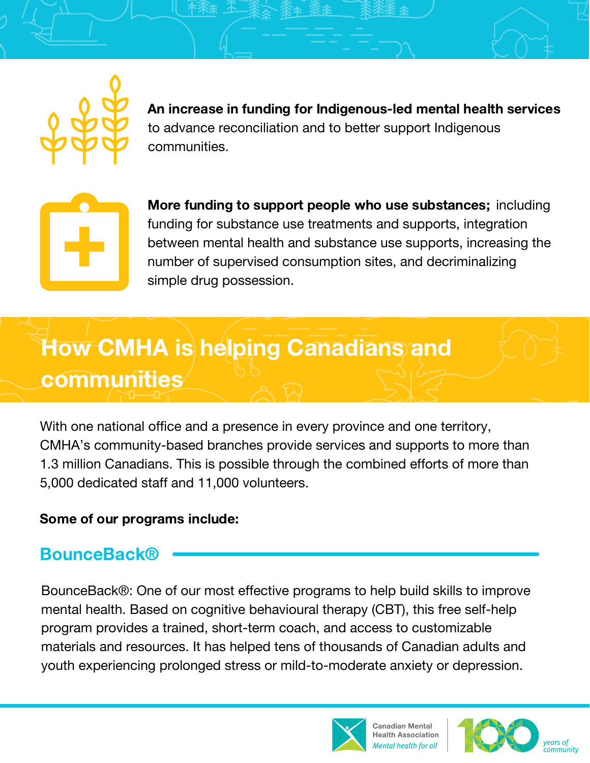

to advance reconciliation and to better support Indigenous communities. An increase in funding for Indigenous-led mental health services



More funding to support people who use substances; including funding for substance use treatments and supports, integration between mental health and substance use supports, increasing the number of supervised consumption sites, and decriminalizing simple drug possession.

## How CMHA is helping Canadians and communities

With one national office and a presence in every province and one territory, CMHA's community-based branches provide services and supports to more than 1.3 million Canadians. This is possible through the combined efforts of more than 5,000 dedicated staff and 11,000 volunteers.

#### Some of our programs include:

#### **BounceBack®**

BounceBack®: One of our most effective programs to help build skills to improve mental health. Based on cognitive behavioural therapy (CBT), this free self-help program provides a trained, short-term coach, and access to customizable materials and resources. It has helped tens of thousands of Canadian adults and youth experiencing prolonged stress or mild-to-moderate anxiety or depression.



Canadian Mental **Health Association** lental health for all

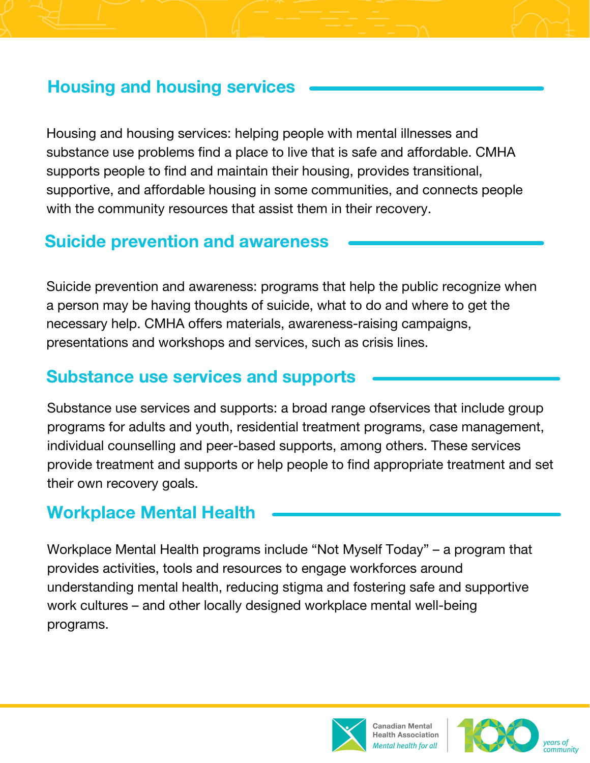#### Housing and housing services

Housing and housing services: helping people with mental illnesses and substance use problems find a place to live that is safe and affordable. CMHA supports people to find and maintain their housing, provides transitional, supportive, and affordable housing in some communities, and connects people with the community resources that assist them in their recovery.

#### Suicide prevention and awareness

Suicide prevention and awareness: programs that help the public recognize when a person may be having thoughts of suicide, what to do and where to get the necessary help. CMHA offers materials, awareness-raising campaigns, presentations and workshops and services, such as crisis lines.

#### Substance use services and supports

Substance use services and supports: a broad range ofservices that include group programs for adults and youth, residential treatment programs, case management, individual counselling and peer-based supports, among others. These services provide treatment and supports or help people to find appropriate treatment and set their own recovery goals.

#### Workplace Mental Health

Workplace Mental Health programs include "Not Myself Today" – a program that provides activities, tools and resources to engage workforces around understanding mental health, reducing stigma and fostering safe and supportive work cultures – and other locally designed workplace mental well-being programs.



Canadian Mental **Health Association** ental health for all

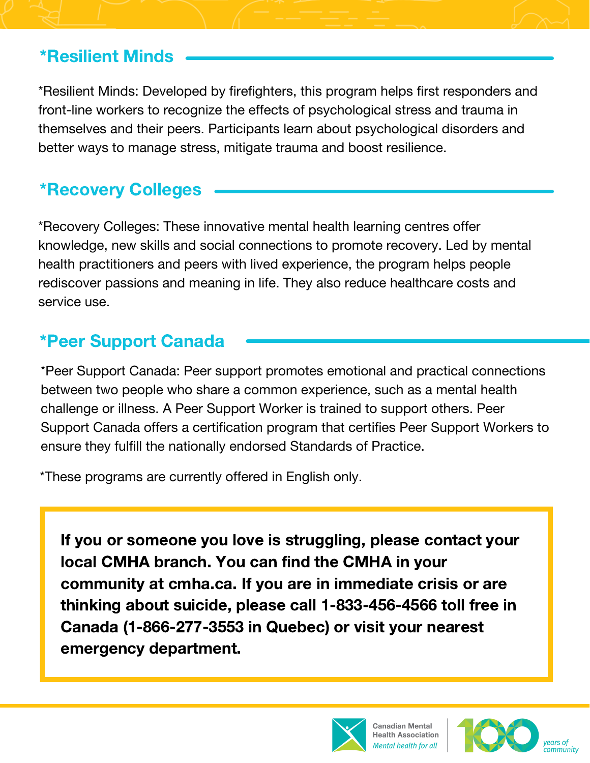#### \*Resilient Minds

\*Resilient Minds: Developed by firefighters, this program helps first responders and front-line workers to recognize the effects of psychological stress and trauma in themselves and their peers. Participants learn about psychological disorders and better ways to manage stress, mitigate trauma and boost resilience.

#### \*Recovery Colleges

\*Recovery Colleges: These innovative mental health learning centres offer knowledge, new skills and social connections to promote recovery. Led by mental health practitioners and peers with lived experience, the program helps people rediscover passions and meaning in life. They also reduce healthcare costs and service use.

#### \*Peer Support Canada

\*Peer Support Canada: Peer support promotes emotional and practical connections between two people who share a common experience, such as a mental health challenge or illness. A Peer Support Worker is trained to support others. Peer Support Canada offers a certification program that certifies Peer Support Workers to ensure they fulfill the nationally endorsed Standards of Practice.

\*These programs are currently offered in English only.

If you or someone you love is struggling, please contact your local CMHA branch. You can find the CMHA in your community at cmha.ca. If you are in immediate crisis or are thinking about suicide, please call 1-833-456-4566 toll free in Canada (1-866-277-3553 in Quebec) or visit your nearest emergency department.



Canadian Mental **Health Association** lental health for all